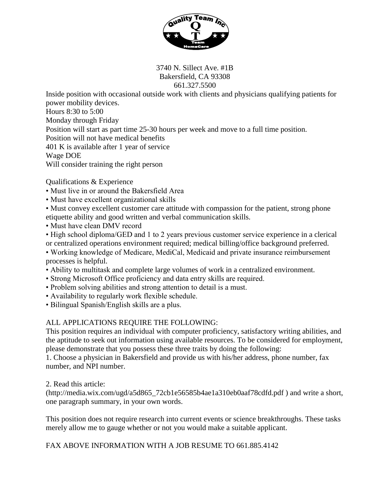

3740 N. Sillect Ave. #1B Bakersfield, CA 93308 661.327.5500

Inside position with occasional outside work with clients and physicians qualifying patients for power mobility devices. Hours 8:30 to 5:00 Monday through Friday Position will start as part time 25-30 hours per week and move to a full time position. Position will not have medical benefits 401 K is available after 1 year of service Wage DOE Will consider training the right person

Qualifications & Experience

- Must live in or around the Bakersfield Area
- Must have excellent organizational skills

• Must convey excellent customer care attitude with compassion for the patient, strong phone etiquette ability and good written and verbal communication skills.

• Must have clean DMV record

• High school diploma/GED and 1 to 2 years previous customer service experience in a clerical or centralized operations environment required; medical billing/office background preferred.

- Working knowledge of Medicare, MediCal, Medicaid and private insurance reimbursement processes is helpful.
- Ability to multitask and complete large volumes of work in a centralized environment.
- Strong Microsoft Office proficiency and data entry skills are required.
- Problem solving abilities and strong attention to detail is a must.
- Availability to regularly work flexible schedule.
- Bilingual Spanish/English skills are a plus.

## ALL APPLICATIONS REQUIRE THE FOLLOWING:

This position requires an individual with computer proficiency, satisfactory writing abilities, and the aptitude to seek out information using available resources. To be considered for employment, please demonstrate that you possess these three traits by doing the following:

1. Choose a physician in Bakersfield and provide us with his/her address, phone number, fax number, and NPI number.

2. Read this article:

(http://media.wix.com/ugd/a5d865\_72cb1e56585b4ae1a310eb0aaf78cdfd.pdf ) and write a short, one paragraph summary, in your own words.

This position does not require research into current events or science breakthroughs. These tasks merely allow me to gauge whether or not you would make a suitable applicant.

FAX ABOVE INFORMATION WITH A JOB RESUME TO 661.885.4142